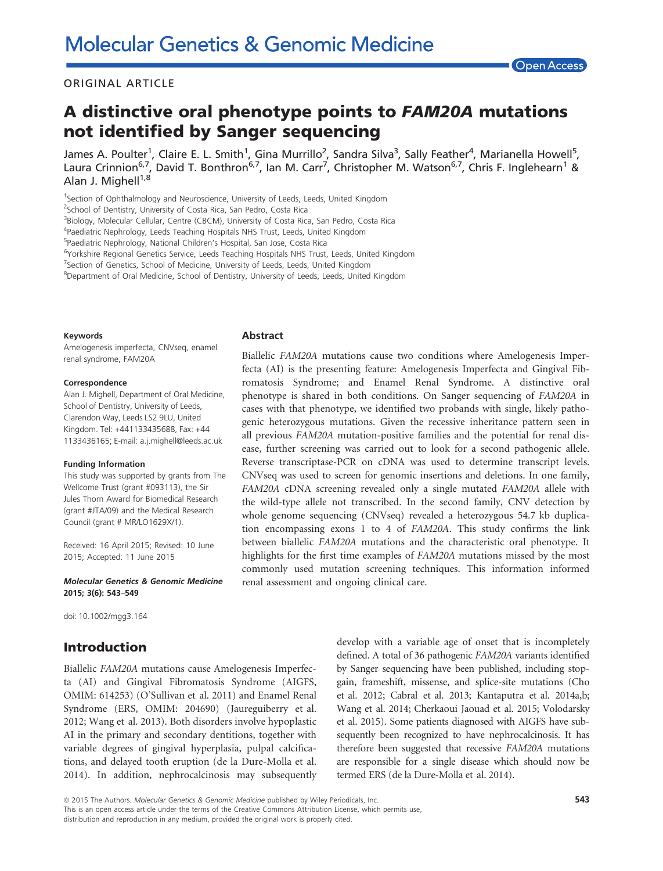#### ORIGINAL ARTICLE

# A distinctive oral phenotype points to FAM20A mutations not identified by Sanger sequencing

James A. Poulter<sup>1</sup>, Claire E. L. Smith<sup>1</sup>, Gina Murrillo<sup>2</sup>, Sandra Silva<sup>3</sup>, Sally Feather<sup>4</sup>, Marianella Howell<sup>5</sup> , Laura Crinnion<sup>6,7</sup>, David T. Bonthron<sup>6,7</sup>, Ian M. Carr<sup>7</sup>, Christopher M. Watson<sup>6,7</sup>, Chris F. Inglehearn<sup>1</sup> & Alan J. Mighell<sup>1,8</sup>

<sup>1</sup>Section of Ophthalmology and Neuroscience, University of Leeds, Leeds, United Kingdom

<sup>2</sup>School of Dentistry, University of Costa Rica, San Pedro, Costa Rica

<sup>3</sup>Biology, Molecular Cellular, Centre (CBCM), University of Costa Rica, San Pedro, Costa Rica

<sup>4</sup>Paediatric Nephrology, Leeds Teaching Hospitals NHS Trust, Leeds, United Kingdom

5 Paediatric Nephrology, National Children's Hospital, San Jose, Costa Rica

<sup>6</sup>Yorkshire Regional Genetics Service, Leeds Teaching Hospitals NHS Trust, Leeds, United Kingdom

<sup>7</sup>Section of Genetics, School of Medicine, University of Leeds, Leeds, United Kingdom

<sup>8</sup>Department of Oral Medicine, School of Dentistry, University of Leeds, Leeds, United Kingdom

#### Keywords

Amelogenesis imperfecta, CNVseq, enamel renal syndrome, FAM20A

#### Correspondence

Alan J. Mighell, Department of Oral Medicine, School of Dentistry, University of Leeds, Clarendon Way, Leeds LS2 9LU, United Kingdom. Tel: +441133435688, Fax: +44 1133436165; E-mail: a.j.mighell@leeds.ac.uk

#### Funding Information

This study was supported by grants from The Wellcome Trust (grant #093113), the Sir Jules Thorn Award for Biomedical Research (grant #JTA/09) and the Medical Research Council (grant # MR/LO1629X/1).

Received: 16 April 2015; Revised: 10 June 2015; Accepted: 11 June 2015

#### Molecular Genetics & Genomic Medicine 2015; 3(6): 543–549

doi: 10.1002/mgg3.164

### Introduction

Biallelic FAM20A mutations cause Amelogenesis Imperfecta (AI) and Gingival Fibromatosis Syndrome (AIGFS, OMIM: 614253) (O'Sullivan et al. 2011) and Enamel Renal Syndrome (ERS, OMIM: 204690) (Jaureguiberry et al. 2012; Wang et al. 2013). Both disorders involve hypoplastic AI in the primary and secondary dentitions, together with variable degrees of gingival hyperplasia, pulpal calcifications, and delayed tooth eruption (de la Dure-Molla et al. 2014). In addition, nephrocalcinosis may subsequently

Abstract

Biallelic FAM20A mutations cause two conditions where Amelogenesis Imperfecta (AI) is the presenting feature: Amelogenesis Imperfecta and Gingival Fibromatosis Syndrome; and Enamel Renal Syndrome. A distinctive oral phenotype is shared in both conditions. On Sanger sequencing of FAM20A in cases with that phenotype, we identified two probands with single, likely pathogenic heterozygous mutations. Given the recessive inheritance pattern seen in all previous FAM20A mutation-positive families and the potential for renal disease, further screening was carried out to look for a second pathogenic allele. Reverse transcriptase-PCR on cDNA was used to determine transcript levels. CNVseq was used to screen for genomic insertions and deletions. In one family, FAM20A cDNA screening revealed only a single mutated FAM20A allele with the wild-type allele not transcribed. In the second family, CNV detection by whole genome sequencing (CNVseq) revealed a heterozygous 54.7 kb duplication encompassing exons 1 to 4 of FAM20A. This study confirms the link between biallelic FAM20A mutations and the characteristic oral phenotype. It highlights for the first time examples of FAM20A mutations missed by the most commonly used mutation screening techniques. This information informed renal assessment and ongoing clinical care.

> develop with a variable age of onset that is incompletely defined. A total of 36 pathogenic FAM20A variants identified by Sanger sequencing have been published, including stopgain, frameshift, missense, and splice-site mutations (Cho et al. 2012; Cabral et al. 2013; Kantaputra et al. 2014a,b; Wang et al. 2014; Cherkaoui Jaouad et al. 2015; Volodarsky et al. 2015). Some patients diagnosed with AIGFS have subsequently been recognized to have nephrocalcinosis. It has therefore been suggested that recessive FAM20A mutations are responsible for a single disease which should now be termed ERS (de la Dure-Molla et al. 2014).

ª 2015 The Authors. Molecular Genetics & Genomic Medicine published by Wiley Periodicals, Inc. This is an open access article under the terms of the [Creative Commons Attribution](http://creativecommons.org/licenses/by/4.0/) License, which permits use, distribution and reproduction in any medium, provided the original work is properly cited.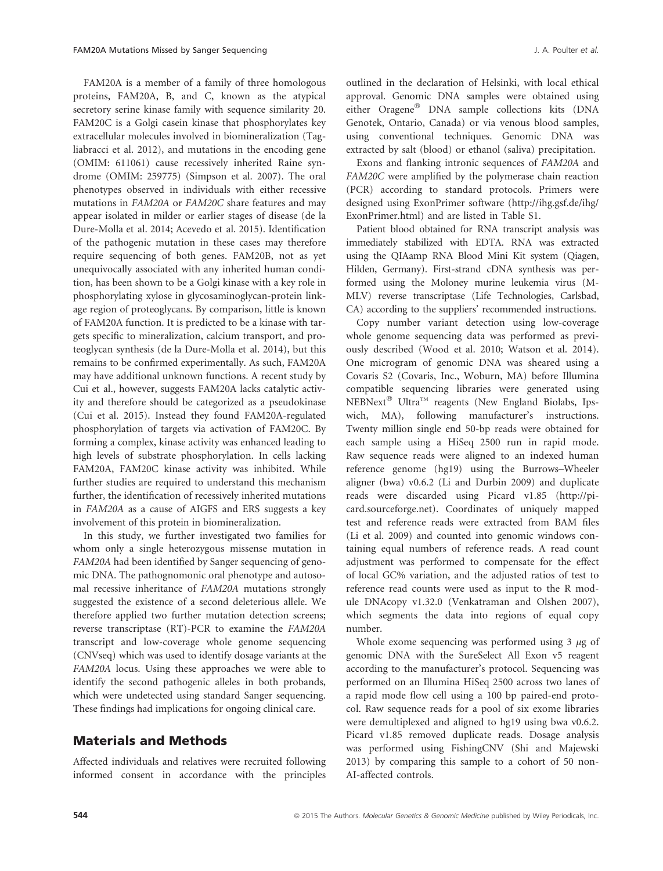FAM20A is a member of a family of three homologous proteins, FAM20A, B, and C, known as the atypical secretory serine kinase family with sequence similarity 20. FAM20C is a Golgi casein kinase that phosphorylates key extracellular molecules involved in biomineralization (Tagliabracci et al. 2012), and mutations in the encoding gene (OMIM: 611061) cause recessively inherited Raine syndrome (OMIM: 259775) (Simpson et al. 2007). The oral phenotypes observed in individuals with either recessive mutations in FAM20A or FAM20C share features and may appear isolated in milder or earlier stages of disease (de la Dure-Molla et al. 2014; Acevedo et al. 2015). Identification of the pathogenic mutation in these cases may therefore require sequencing of both genes. FAM20B, not as yet unequivocally associated with any inherited human condition, has been shown to be a Golgi kinase with a key role in phosphorylating xylose in glycosaminoglycan-protein linkage region of proteoglycans. By comparison, little is known of FAM20A function. It is predicted to be a kinase with targets specific to mineralization, calcium transport, and proteoglycan synthesis (de la Dure-Molla et al. 2014), but this remains to be confirmed experimentally. As such, FAM20A may have additional unknown functions. A recent study by Cui et al., however, suggests FAM20A lacks catalytic activity and therefore should be categorized as a pseudokinase (Cui et al. 2015). Instead they found FAM20A-regulated phosphorylation of targets via activation of FAM20C. By forming a complex, kinase activity was enhanced leading to high levels of substrate phosphorylation. In cells lacking FAM20A, FAM20C kinase activity was inhibited. While further studies are required to understand this mechanism further, the identification of recessively inherited mutations in FAM20A as a cause of AIGFS and ERS suggests a key involvement of this protein in biomineralization.

In this study, we further investigated two families for whom only a single heterozygous missense mutation in FAM20A had been identified by Sanger sequencing of genomic DNA. The pathognomonic oral phenotype and autosomal recessive inheritance of FAM20A mutations strongly suggested the existence of a second deleterious allele. We therefore applied two further mutation detection screens; reverse transcriptase (RT)-PCR to examine the FAM20A transcript and low-coverage whole genome sequencing (CNVseq) which was used to identify dosage variants at the FAM20A locus. Using these approaches we were able to identify the second pathogenic alleles in both probands, which were undetected using standard Sanger sequencing. These findings had implications for ongoing clinical care.

### Materials and Methods

Affected individuals and relatives were recruited following informed consent in accordance with the principles outlined in the declaration of Helsinki, with local ethical approval. Genomic DNA samples were obtained using either Oragene® DNA sample collections kits (DNA Genotek, Ontario, Canada) or via venous blood samples, using conventional techniques. Genomic DNA was extracted by salt (blood) or ethanol (saliva) precipitation.

Exons and flanking intronic sequences of FAM20A and FAM20C were amplified by the polymerase chain reaction (PCR) according to standard protocols. Primers were designed using ExonPrimer software ([http://ihg.gsf.de/ihg/](http://ihg.gsf.de/ihg/ExonPrimer.html) [ExonPrimer.html\)](http://ihg.gsf.de/ihg/ExonPrimer.html) and are listed in Table S1.

Patient blood obtained for RNA transcript analysis was immediately stabilized with EDTA. RNA was extracted using the QIAamp RNA Blood Mini Kit system (Qiagen, Hilden, Germany). First-strand cDNA synthesis was performed using the Moloney murine leukemia virus (M-MLV) reverse transcriptase (Life Technologies, Carlsbad, CA) according to the suppliers' recommended instructions.

Copy number variant detection using low-coverage whole genome sequencing data was performed as previously described (Wood et al. 2010; Watson et al. 2014). One microgram of genomic DNA was sheared using a Covaris S2 (Covaris, Inc., Woburn, MA) before Illumina compatible sequencing libraries were generated using NEBNext® Ultra<sup>™</sup> reagents (New England Biolabs, Ipswich, MA), following manufacturer's instructions. Twenty million single end 50-bp reads were obtained for each sample using a HiSeq 2500 run in rapid mode. Raw sequence reads were aligned to an indexed human reference genome (hg19) using the Burrows–Wheeler aligner (bwa) v0.6.2 (Li and Durbin 2009) and duplicate reads were discarded using Picard v1.85 ([http://pi](http://picard.sourceforge.net)[card.sourceforge.net](http://picard.sourceforge.net)). Coordinates of uniquely mapped test and reference reads were extracted from BAM files (Li et al. 2009) and counted into genomic windows containing equal numbers of reference reads. A read count adjustment was performed to compensate for the effect of local GC% variation, and the adjusted ratios of test to reference read counts were used as input to the R module DNAcopy v1.32.0 (Venkatraman and Olshen 2007), which segments the data into regions of equal copy number.

Whole exome sequencing was performed using  $3 \mu$ g of genomic DNA with the SureSelect All Exon v5 reagent according to the manufacturer's protocol. Sequencing was performed on an Illumina HiSeq 2500 across two lanes of a rapid mode flow cell using a 100 bp paired-end protocol. Raw sequence reads for a pool of six exome libraries were demultiplexed and aligned to hg19 using bwa v0.6.2. Picard v1.85 removed duplicate reads. Dosage analysis was performed using FishingCNV (Shi and Majewski 2013) by comparing this sample to a cohort of 50 non-AI-affected controls.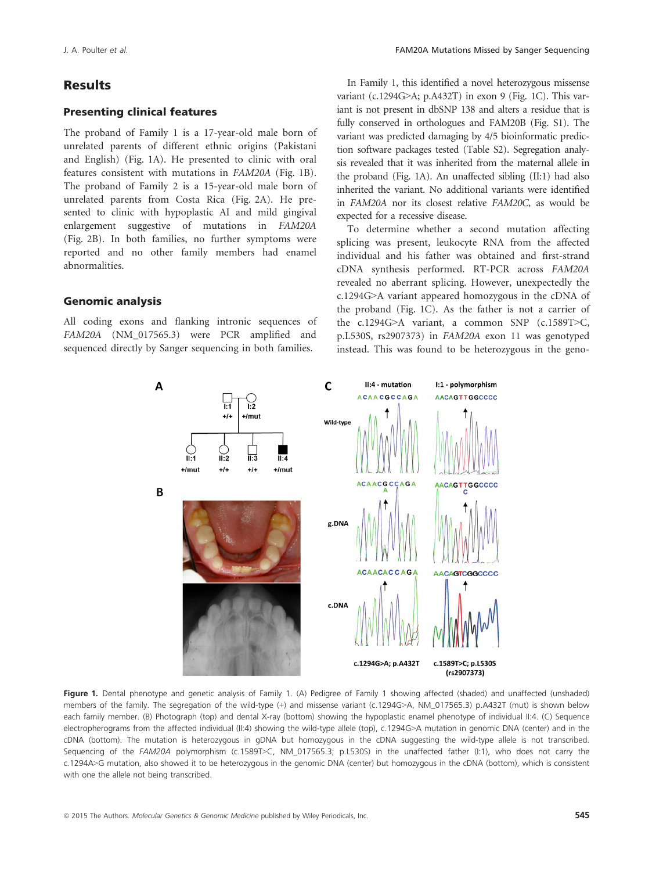# Results

### Presenting clinical features

The proband of Family 1 is a 17-year-old male born of unrelated parents of different ethnic origins (Pakistani and English) (Fig. 1A). He presented to clinic with oral features consistent with mutations in FAM20A (Fig. 1B). The proband of Family 2 is a 15-year-old male born of unrelated parents from Costa Rica (Fig. 2A). He presented to clinic with hypoplastic AI and mild gingival enlargement suggestive of mutations in FAM20A (Fig. 2B). In both families, no further symptoms were reported and no other family members had enamel abnormalities.

#### Genomic analysis

All coding exons and flanking intronic sequences of FAM20A (NM\_017565.3) were PCR amplified and sequenced directly by Sanger sequencing in both families.

In Family 1, this identified a novel heterozygous missense variant (c.1294G>A; p.A432T) in exon 9 (Fig. 1C). This variant is not present in dbSNP 138 and alters a residue that is fully conserved in orthologues and FAM20B (Fig. S1). The variant was predicted damaging by 4/5 bioinformatic prediction software packages tested (Table S2). Segregation analysis revealed that it was inherited from the maternal allele in the proband (Fig. 1A). An unaffected sibling (II:1) had also inherited the variant. No additional variants were identified in FAM20A nor its closest relative FAM20C, as would be expected for a recessive disease.

To determine whether a second mutation affecting splicing was present, leukocyte RNA from the affected individual and his father was obtained and first-strand cDNA synthesis performed. RT-PCR across FAM20A revealed no aberrant splicing. However, unexpectedly the c.1294G>A variant appeared homozygous in the cDNA of the proband (Fig. 1C). As the father is not a carrier of the c.1294G>A variant, a common SNP (c.1589T>C, p.L530S, rs2907373) in FAM20A exon 11 was genotyped instead. This was found to be heterozygous in the geno-



Figure 1. Dental phenotype and genetic analysis of Family 1. (A) Pedigree of Family 1 showing affected (shaded) and unaffected (unshaded) members of the family. The segregation of the wild-type (+) and missense variant (c.1294G>A, NM\_017565.3) p.A432T (mut) is shown below each family member. (B) Photograph (top) and dental X-ray (bottom) showing the hypoplastic enamel phenotype of individual II:4. (C) Sequence electropherograms from the affected individual (II:4) showing the wild-type allele (top), c.1294G>A mutation in genomic DNA (center) and in the cDNA (bottom). The mutation is heterozygous in gDNA but homozygous in the cDNA suggesting the wild-type allele is not transcribed. Sequencing of the FAM20A polymorphism (c.1589T>C, NM\_017565.3; p.L530S) in the unaffected father (I:1), who does not carry the c.1294A>G mutation, also showed it to be heterozygous in the genomic DNA (center) but homozygous in the cDNA (bottom), which is consistent with one the allele not being transcribed.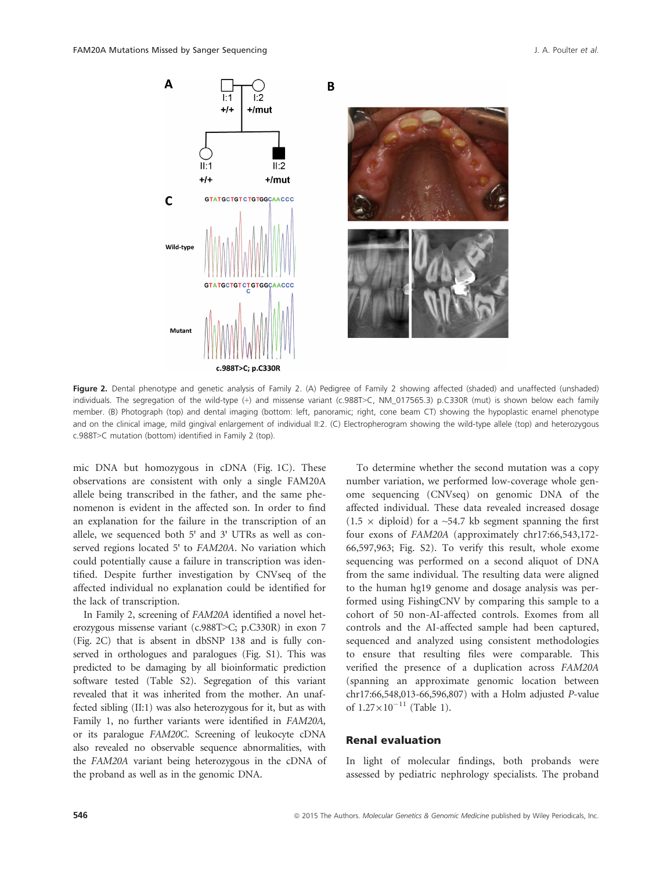

Figure 2. Dental phenotype and genetic analysis of Family 2. (A) Pedigree of Family 2 showing affected (shaded) and unaffected (unshaded) individuals. The segregation of the wild-type (+) and missense variant (c.988T>C, NM\_017565.3) p.C330R (mut) is shown below each family member. (B) Photograph (top) and dental imaging (bottom: left, panoramic; right, cone beam CT) showing the hypoplastic enamel phenotype and on the clinical image, mild gingival enlargement of individual II:2. (C) Electropherogram showing the wild-type allele (top) and heterozygous c.988T>C mutation (bottom) identified in Family 2 (top).

mic DNA but homozygous in cDNA (Fig. 1C). These observations are consistent with only a single FAM20A allele being transcribed in the father, and the same phenomenon is evident in the affected son. In order to find an explanation for the failure in the transcription of an allele, we sequenced both 5' and 3' UTRs as well as conserved regions located 5' to FAM20A. No variation which could potentially cause a failure in transcription was identified. Despite further investigation by CNVseq of the affected individual no explanation could be identified for the lack of transcription.

In Family 2, screening of FAM20A identified a novel heterozygous missense variant (c.988T>C; p.C330R) in exon 7 (Fig. 2C) that is absent in dbSNP 138 and is fully conserved in orthologues and paralogues (Fig. S1). This was predicted to be damaging by all bioinformatic prediction software tested (Table S2). Segregation of this variant revealed that it was inherited from the mother. An unaffected sibling (II:1) was also heterozygous for it, but as with Family 1, no further variants were identified in FAM20A, or its paralogue FAM20C. Screening of leukocyte cDNA also revealed no observable sequence abnormalities, with the FAM20A variant being heterozygous in the cDNA of the proband as well as in the genomic DNA.

To determine whether the second mutation was a copy number variation, we performed low-coverage whole genome sequencing (CNVseq) on genomic DNA of the affected individual. These data revealed increased dosage  $(1.5 \times$  diploid) for a ~54.7 kb segment spanning the first four exons of FAM20A (approximately chr17:66,543,172- 66,597,963; Fig. S2). To verify this result, whole exome sequencing was performed on a second aliquot of DNA from the same individual. The resulting data were aligned to the human hg19 genome and dosage analysis was performed using FishingCNV by comparing this sample to a cohort of 50 non-AI-affected controls. Exomes from all controls and the AI-affected sample had been captured, sequenced and analyzed using consistent methodologies to ensure that resulting files were comparable. This verified the presence of a duplication across FAM20A (spanning an approximate genomic location between chr17:66,548,013-66,596,807) with a Holm adjusted P-value of  $1.27 \times 10^{-11}$  (Table 1).

#### Renal evaluation

In light of molecular findings, both probands were assessed by pediatric nephrology specialists. The proband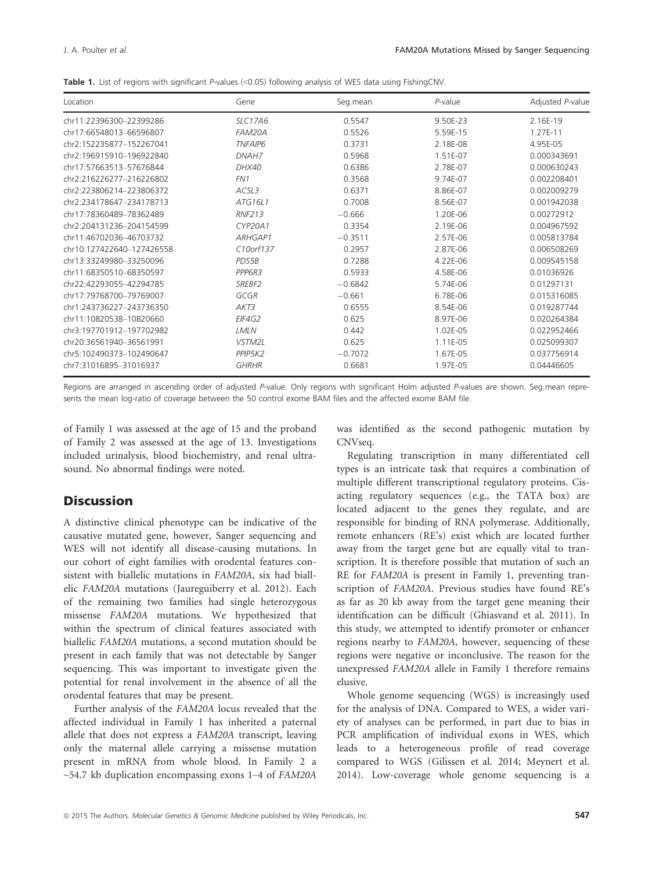|  |  | <b>Table 1.</b> List of regions with significant P-values $\ll 0.05$ following analysis of WES data using FishingCNV. |  |  |  |  |  |  |  |  |  |  |
|--|--|-----------------------------------------------------------------------------------------------------------------------|--|--|--|--|--|--|--|--|--|--|
|--|--|-----------------------------------------------------------------------------------------------------------------------|--|--|--|--|--|--|--|--|--|--|

| Location                  | Gene               | Seg.mean  | $P$ -value | Adjusted P-value |
|---------------------------|--------------------|-----------|------------|------------------|
| chr11:22396300-22399286   | <b>SLC17A6</b>     | 0.5547    | 9.50E-23   | 2.16E-19         |
| chr17:66548013-66596807   | FAM20A             | 0.5526    | 5.59E-15   | 1.27E-11         |
| chr2:152235877-152267041  | <b>TNFAIP6</b>     | 0.3731    | 2.18E-08   | 4.95E-05         |
| chr2:196915910-196922840  | DNAH7              | 0.5968    | 1.51E-07   | 0.000343691      |
| chr17:57663513-57676844   | DHX40              | 0.6386    | 2.78E-07   | 0.000630243      |
| chr2:216226277-216226802  | FN1                | 0.3568    | 9.74E-07   | 0.002208401      |
| chr2:223806214-223806372  | ACSL3              | 0.6371    | 8.86E-07   | 0.002009279      |
| chr2:234178647-234178713  | ATG16L1            | 0.7008    | 8.56E-07   | 0.001942038      |
| chr17:78360489-78362489   | <b>RNF213</b>      | $-0.666$  | 1.20E-06   | 0.00272912       |
| chr2:204131236-204154599  | CYP20A1            | 0.3354    | 2.19E-06   | 0.004967592      |
| chr11:46702036-46703732   | ARHGAP1            | $-0.3511$ | 2.57E-06   | 0.005813784      |
| chr10:127422640-127426558 | $C10$ orf $137$    | 0.2957    | 2.87E-06   | 0.006508269      |
| chr13:33249980-33250096   | PDS5B              | 0.7288    | 4.22E-06   | 0.009545158      |
| chr11:68350510-68350597   | PPP6R3             | 0.5933    | 4.58E-06   | 0.01036926       |
| chr22:42293055-42294785   | SREBF <sub>2</sub> | $-0.6842$ | 5.74E-06   | 0.01297131       |
| chr17:79768700-79769007   | GCGR               | $-0.661$  | 6.78E-06   | 0.015316085      |
| chr1:243736227-243736350  | AKT3               | 0.6555    | 8.54E-06   | 0.019287744      |
| chr11:10820538-10820660   | EIF4G2             | 0.625     | 8.97E-06   | 0.020264384      |
| chr3:197701912-197702982  | LMLN               | 0.442     | 1.02E-05   | 0.022952466      |
| chr20:36561940-36561991   | VSTM2L             | 0.625     | 1.11E-05   | 0.025099307      |
| chr5:102490373-102490647  | PPIP5K2            | $-0.7072$ | 1.67E-05   | 0.037756914      |
| chr7:31016895-31016937    | <b>GHRHR</b>       | 0.6681    | 1.97E-05   | 0.04446605       |

Regions are arranged in ascending order of adjusted P-value. Only regions with significant Holm adjusted P-values are shown. Seg.mean represents the mean log-ratio of coverage between the 50 control exome BAM files and the affected exome BAM file.

of Family 1 was assessed at the age of 15 and the proband of Family 2 was assessed at the age of 13. Investigations included urinalysis, blood biochemistry, and renal ultrasound. No abnormal findings were noted.

# **Discussion**

A distinctive clinical phenotype can be indicative of the causative mutated gene, however, Sanger sequencing and WES will not identify all disease-causing mutations. In our cohort of eight families with orodental features consistent with biallelic mutations in FAM20A, six had biallelic FAM20A mutations (Jaureguiberry et al. 2012). Each of the remaining two families had single heterozygous missense FAM20A mutations. We hypothesized that within the spectrum of clinical features associated with biallelic FAM20A mutations, a second mutation should be present in each family that was not detectable by Sanger sequencing. This was important to investigate given the potential for renal involvement in the absence of all the orodental features that may be present.

Further analysis of the FAM20A locus revealed that the affected individual in Family 1 has inherited a paternal allele that does not express a FAM20A transcript, leaving only the maternal allele carrying a missense mutation present in mRNA from whole blood. In Family 2 a  $\sim$ 54.7 kb duplication encompassing exons 1–4 of FAM20A was identified as the second pathogenic mutation by CNVseq.

Regulating transcription in many differentiated cell types is an intricate task that requires a combination of multiple different transcriptional regulatory proteins. Cisacting regulatory sequences (e.g., the TATA box) are located adjacent to the genes they regulate, and are responsible for binding of RNA polymerase. Additionally, remote enhancers (RE's) exist which are located further away from the target gene but are equally vital to transcription. It is therefore possible that mutation of such an RE for FAM20A is present in Family 1, preventing transcription of FAM20A. Previous studies have found RE's as far as 20 kb away from the target gene meaning their identification can be difficult (Ghiasvand et al. 2011). In this study, we attempted to identify promoter or enhancer regions nearby to FAM20A, however, sequencing of these regions were negative or inconclusive. The reason for the unexpressed FAM20A allele in Family 1 therefore remains elusive.

Whole genome sequencing (WGS) is increasingly used for the analysis of DNA. Compared to WES, a wider variety of analyses can be performed, in part due to bias in PCR amplification of individual exons in WES, which leads to a heterogeneous profile of read coverage compared to WGS (Gilissen et al. 2014; Meynert et al. 2014). Low-coverage whole genome sequencing is a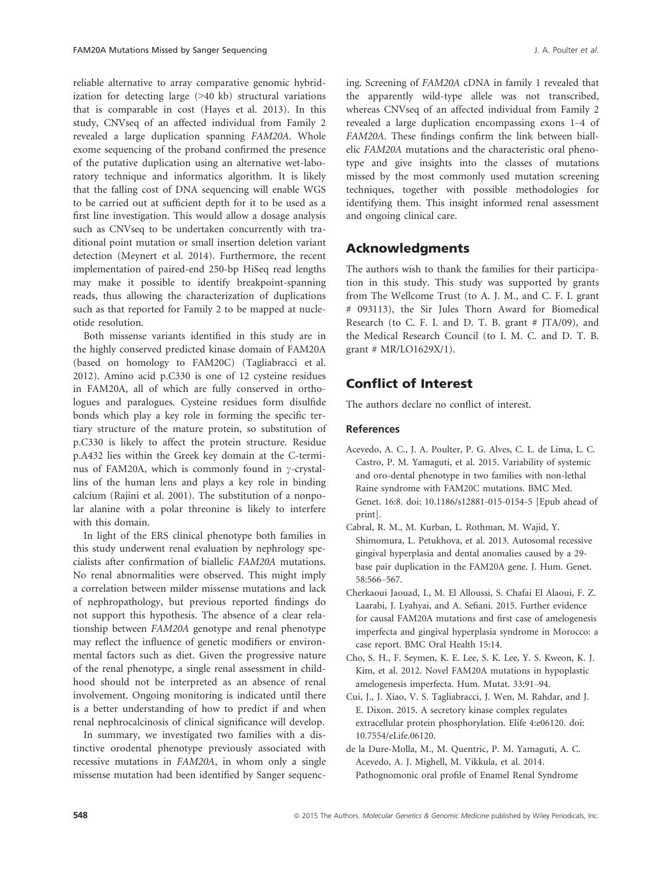reliable alternative to array comparative genomic hybridization for detecting large (>40 kb) structural variations that is comparable in cost (Hayes et al. 2013). In this study, CNVseq of an affected individual from Family 2 revealed a large duplication spanning FAM20A. Whole exome sequencing of the proband confirmed the presence of the putative duplication using an alternative wet-laboratory technique and informatics algorithm. It is likely that the falling cost of DNA sequencing will enable WGS to be carried out at sufficient depth for it to be used as a first line investigation. This would allow a dosage analysis such as CNVseq to be undertaken concurrently with traditional point mutation or small insertion deletion variant detection (Meynert et al. 2014). Furthermore, the recent implementation of paired-end 250-bp HiSeq read lengths may make it possible to identify breakpoint-spanning reads, thus allowing the characterization of duplications such as that reported for Family 2 to be mapped at nucleotide resolution.

Both missense variants identified in this study are in the highly conserved predicted kinase domain of FAM20A (based on homology to FAM20C) (Tagliabracci et al. 2012). Amino acid p.C330 is one of 12 cysteine residues in FAM20A, all of which are fully conserved in orthologues and paralogues. Cysteine residues form disulfide bonds which play a key role in forming the specific tertiary structure of the mature protein, so substitution of p.C330 is likely to affect the protein structure. Residue p.A432 lies within the Greek key domain at the C-terminus of FAM20A, which is commonly found in  $\gamma$ -crystallins of the human lens and plays a key role in binding calcium (Rajini et al. 2001). The substitution of a nonpolar alanine with a polar threonine is likely to interfere with this domain.

In light of the ERS clinical phenotype both families in this study underwent renal evaluation by nephrology specialists after confirmation of biallelic FAM20A mutations. No renal abnormalities were observed. This might imply a correlation between milder missense mutations and lack of nephropathology, but previous reported findings do not support this hypothesis. The absence of a clear relationship between FAM20A genotype and renal phenotype may reflect the influence of genetic modifiers or environmental factors such as diet. Given the progressive nature of the renal phenotype, a single renal assessment in childhood should not be interpreted as an absence of renal involvement. Ongoing monitoring is indicated until there is a better understanding of how to predict if and when renal nephrocalcinosis of clinical significance will develop.

In summary, we investigated two families with a distinctive orodental phenotype previously associated with recessive mutations in FAM20A, in whom only a single missense mutation had been identified by Sanger sequencing. Screening of FAM20A cDNA in family 1 revealed that the apparently wild-type allele was not transcribed, whereas CNVseq of an affected individual from Family 2 revealed a large duplication encompassing exons 1–4 of FAM20A. These findings confirm the link between biallelic FAM20A mutations and the characteristic oral phenotype and give insights into the classes of mutations missed by the most commonly used mutation screening techniques, together with possible methodologies for identifying them. This insight informed renal assessment and ongoing clinical care.

# Acknowledgments

The authors wish to thank the families for their participation in this study. This study was supported by grants from The Wellcome Trust (to A. J. M., and C. F. I. grant # 093113), the Sir Jules Thorn Award for Biomedical Research (to C. F. I. and D. T. B. grant # JTA/09), and the Medical Research Council (to I. M. C. and D. T. B. grant # MR/LO1629X/1).

# Conflict of Interest

The authors declare no conflict of interest.

#### References

- Acevedo, A. C., J. A. Poulter, P. G. Alves, C. L. de Lima, L. C. Castro, P. M. Yamaguti, et al. 2015. Variability of systemic and oro-dental phenotype in two families with non-lethal Raine syndrome with FAM20C mutations. BMC Med. Genet. 16:8. doi: [10.1186/s12881-015-0154-5](http://dx.doi.org/10.1186/s12881-015-0154-5) [Epub ahead of print].
- Cabral, R. M., M. Kurban, L. Rothman, M. Wajid, Y. Shimomura, L. Petukhova, et al. 2013. Autosomal recessive gingival hyperplasia and dental anomalies caused by a 29 base pair duplication in the FAM20A gene. J. Hum. Genet. 58:566–567.
- Cherkaoui Jaouad, I., M. El Alloussi, S. Chafai El Alaoui, F. Z. Laarabi, J. Lyahyai, and A. Sefiani. 2015. Further evidence for causal FAM20A mutations and first case of amelogenesis imperfecta and gingival hyperplasia syndrome in Morocco: a case report. BMC Oral Health 15:14.
- Cho, S. H., F. Seymen, K. E. Lee, S. K. Lee, Y. S. Kweon, K. J. Kim, et al. 2012. Novel FAM20A mutations in hypoplastic amelogenesis imperfecta. Hum. Mutat. 33:91–94.
- Cui, J., J. Xiao, V. S. Tagliabracci, J. Wen, M. Rahdar, and J. E. Dixon. 2015. A secretory kinase complex regulates extracellular protein phosphorylation. Elife 4:e06120. doi: [10.7554/eLife.06120](http://dx.doi.org/10.7554/eLife.06120).
- de la Dure-Molla, M., M. Quentric, P. M. Yamaguti, A. C. Acevedo, A. J. Mighell, M. Vikkula, et al. 2014. Pathognomonic oral profile of Enamel Renal Syndrome